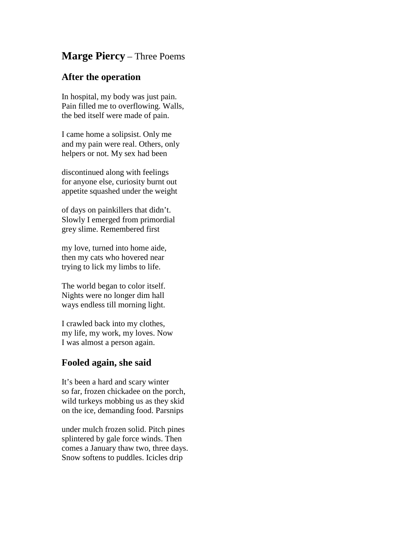## **Marge Piercy** – Three Poems

## **After the operation**

In hospital, my body was just pain. Pain filled me to overflowing. Walls, the bed itself were made of pain.

I came home a solipsist. Only me and my pain were real. Others, only helpers or not. My sex had been

discontinued along with feelings for anyone else, curiosity burnt out appetite squashed under the weight

of days on painkillers that didn't. Slowly I emerged from primordial grey slime. Remembered first

my love, turned into home aide, then my cats who hovered near trying to lick my limbs to life.

The world began to color itself. Nights were no longer dim hall ways endless till morning light.

I crawled back into my clothes, my life, my work, my loves. Now I was almost a person again.

## **Fooled again, she said**

It's been a hard and scary winter so far, frozen chickadee on the porch, wild turkeys mobbing us as they skid on the ice, demanding food. Parsnips

under mulch frozen solid. Pitch pines splintered by gale force winds. Then comes a January thaw two, three days. Snow softens to puddles. Icicles drip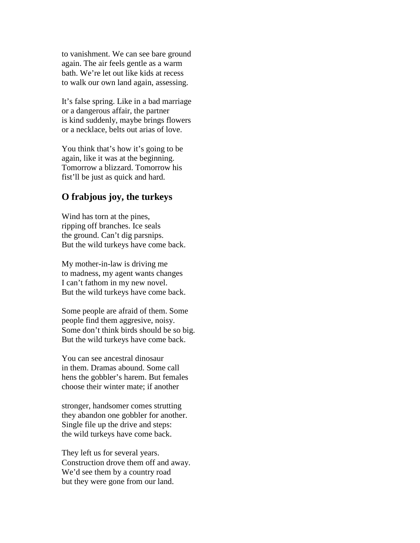to vanishment. We can see bare ground again. The air feels gentle as a warm bath. We're let out like kids at recess to walk our own land again, assessing.

It's false spring. Like in a bad marriage or a dangerous affair, the partner is kind suddenly, maybe brings flowers or a necklace, belts out arias of love.

You think that's how it's going to be again, like it was at the beginning. Tomorrow a blizzard. Tomorrow his fist'll be just as quick and hard.

## **O frabjous joy, the turkeys**

Wind has torn at the pines, ripping off branches. Ice seals the ground. Can't dig parsnips. But the wild turkeys have come back.

My mother-in-law is driving me to madness, my agent wants changes I can't fathom in my new novel. But the wild turkeys have come back.

Some people are afraid of them. Some people find them aggresive, noisy. Some don't think birds should be so big. But the wild turkeys have come back.

You can see ancestral dinosaur in them. Dramas abound. Some call hens the gobbler's harem. But females choose their winter mate; if another

stronger, handsomer comes strutting they abandon one gobbler for another. Single file up the drive and steps: the wild turkeys have come back.

They left us for several years. Construction drove them off and away. We'd see them by a country road but they were gone from our land.